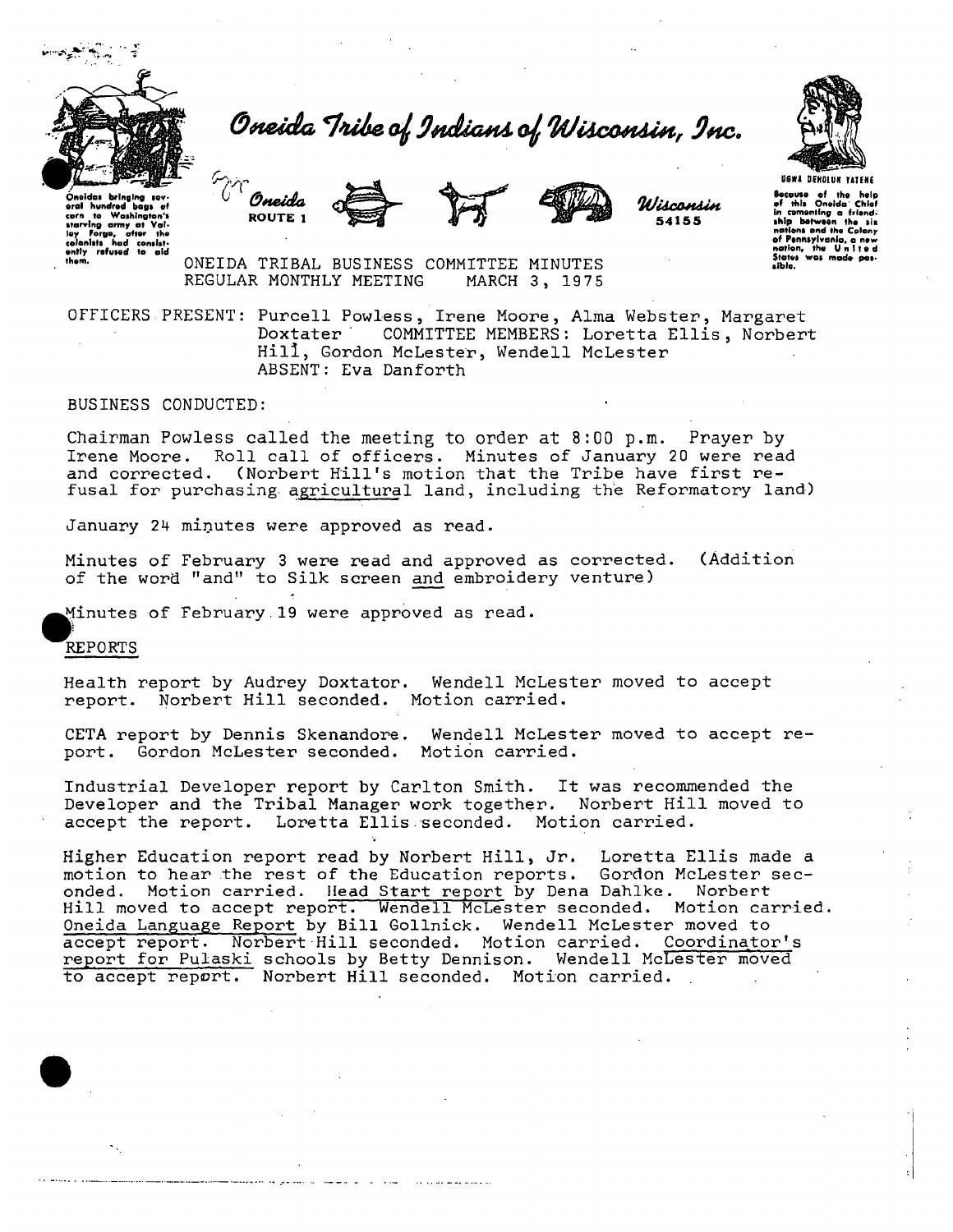

O*n*eida Tribe of Indians of Wisconsin, Inc.







*WiicOHAin*  5415 5



oution, the Unit<br>States was mode<br>sible.

Bocause of the help<br>of this Oneida Chief<br>in cementing a friendin comenting a triend:<br>ship between the six<br>nations and the Colony nations and the Colony<br>of Pennsylvanio, a new<br>nation, the United<br>States was made pos-

Oneldos bringing several hundred bogs<br>corn to Washingto corn to Washington's starving army at Val<br>ey Forgo, offer the<br>colenlists had consistently refused to aid

ONEIDA TRIBAL BUSINESS COMMITTEE MINUTES REGULAR MONTHLY MEETING MARCH 3, 1975

OFFICERS PRESENT: Purcell Powless, Irene Moore, Alma Webster, Margaret<br>Doxtater COMMITTEE MEMBERS: Loretta Ellis. Norbert COMMITTEE MEMBERS: Loretta Ellis, Norbert Hill, Gordon McLester, Wendell McLester ABSENT: Eva Danforth

BUSINESS CONDUCTED:

Chairman Powless called the meeting to order at 8:00 p.m. Prayer by Irene Moore. Roll call of officers. Minutes of January 20 were read and corrected. (Norbert Hill's motion that the Tribe have first refusal for purchasing agricultural land, including the Reformatory land)

January 24 minutes were approved as read.

Minutes of February 3 were read and approved as corrected. (Addition of the word "and" to Silk screen and embroidery venture)

Minutes of February.19 were approved as read.

REPORTS

Health report by Audrey Doxtator. Wendell McLester moved to accept report. Norbert Hill seconded. Motion carried.

CETA report by Dennis Skenandore. Wendell McLester moved to accept report. Gordon McLester seconded. Motion carried.

Industrial Developer report by Carlton Smith. It was recommended the Developer and the Tribal Manager work together. Norbert Hill moved to accept the report. Loretta Ellis seconded. Motion carried.

Higher Education report read by Norbert Hill, Jr. Loretta Ellis made a motion to hear the rest of the Education reports. Gordon McLester sec-<br>onded. Motion carried. Head Start report by Dena Dahlke. Norbert Motion carried. Head Start report by Dena Dahlke. Norbert Hill moved to accept report. Wendell McLester seconded. Motion carried. Oneida Language Report by Bill Gollnick. Wendell McLester moved to accept report. Norbert Hill seconded. Motion carried. Coordinator's report for Pulaski schools by Betty Dennison. Wendell McLester moved to accept report. Norbert Hill seconded. Motion carried.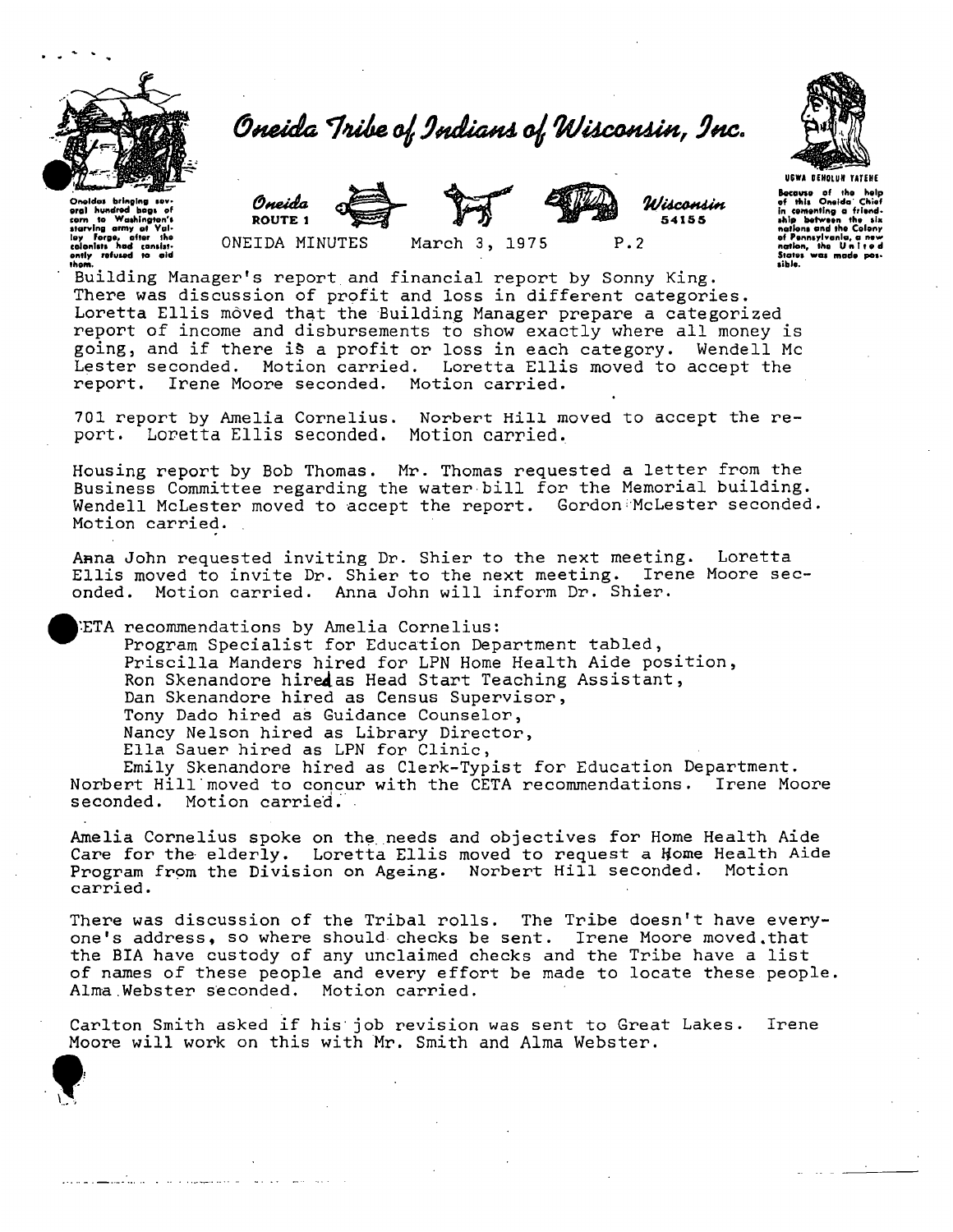

## *Oneida ^nllte. ^ 9MJUgmA O^ Wilccmlin , 9MC*



Onoidas bringing sov-<br>oral hundrod bags of<br>corn to Washington's starving army at Yal-<br>loy Forge, after the<br>colonists had consist-<br>ently refused to aid<br>thom. *Oneida* 



*WUcMUin*  54155

P. 2

U6WA OEHQIUH TATfHE Bocauso of the<br>of this Oneida of this Oneida Chief<br>in cementing a friend<br>ship between the six<br>nations and the Colony<br>of Pennsylvania, a new<br>nation, the United<br>States was made pes-<br>sible.

ROUTE 1

ONEIDA MINUTES March 3, 1975

Building Manager's report and financial report by Sonny King. There was discussion of profit and loss in different categories. Loretta Ellis moved that the Building Manager prepare a categorized report of income and disbursements to show exactly where all money is going, and if there iS a profit or loss in each category. Wendell Mc Lester seconded. Motion carried. Loretta Ellis moved to accept the report. Irene Moore seconded. Motion carried.

701 report by Amelia Cornelius. Norbert Hill moved to accept the re-<br>port. Loretta Ellis seconded. Motion carried. port. Loretta Ellis seconded.

Housing report by Bob Thomas. Mr. Thomas requested a letter from the Business Committee regarding the water bill for the Memorial building. Wendell McLester moved to accept the report. Gordon McLester seconded. Motion carried.

Anna John requested inviting Dr. Shier to the next meeting. Loretta Ellis moved to invite Dr. Shier to the next meeting. Irene Moore seconded. Motion carried. Anna John will inform Dr. Shier.

ETA recommendations by Amelia Cornelius: Program Specialist for Education Department tabled, Priscilla Manders hired for LPN Home Health Aide position, Ron Skenandore hired as Head Start Teaching Assistant, Dan Skenandore hired as Census Supervisor, Tony Dado hired as Guidance Counselor, Nancy Nelson hired as Library Director, Ella Sauer hired as LPN for Clinic, Emily Skenandore hired as Clerk-Typist for Education Department.

Norbert Hill moved to concur with the CETA recommendations. Irene Moore seconded. Motion carried.

Amelia Cornelius spoke on the. needs and objectives for Home Health Aide Care for the elderly. Loretta Ellis moved to request a Home Health Aide Program from the Division on Ageing. Norbert Hill seconded. Motion carried.

There was discussion of the Tribal rolls. The Tribe doesn't have everyone's address, so where should checks be sent. Irene Moore moved.that the BIA have custody of any unclaimed checks and the Tribe have a list of names of these people and every effort be made to locate these people. Alma.Webster seconded. Motion carried.

Carlton Smith asked if his' job revision was sent to Great Lakes. Irene Moore will work on this with Mr. Smith and Alma Webster.

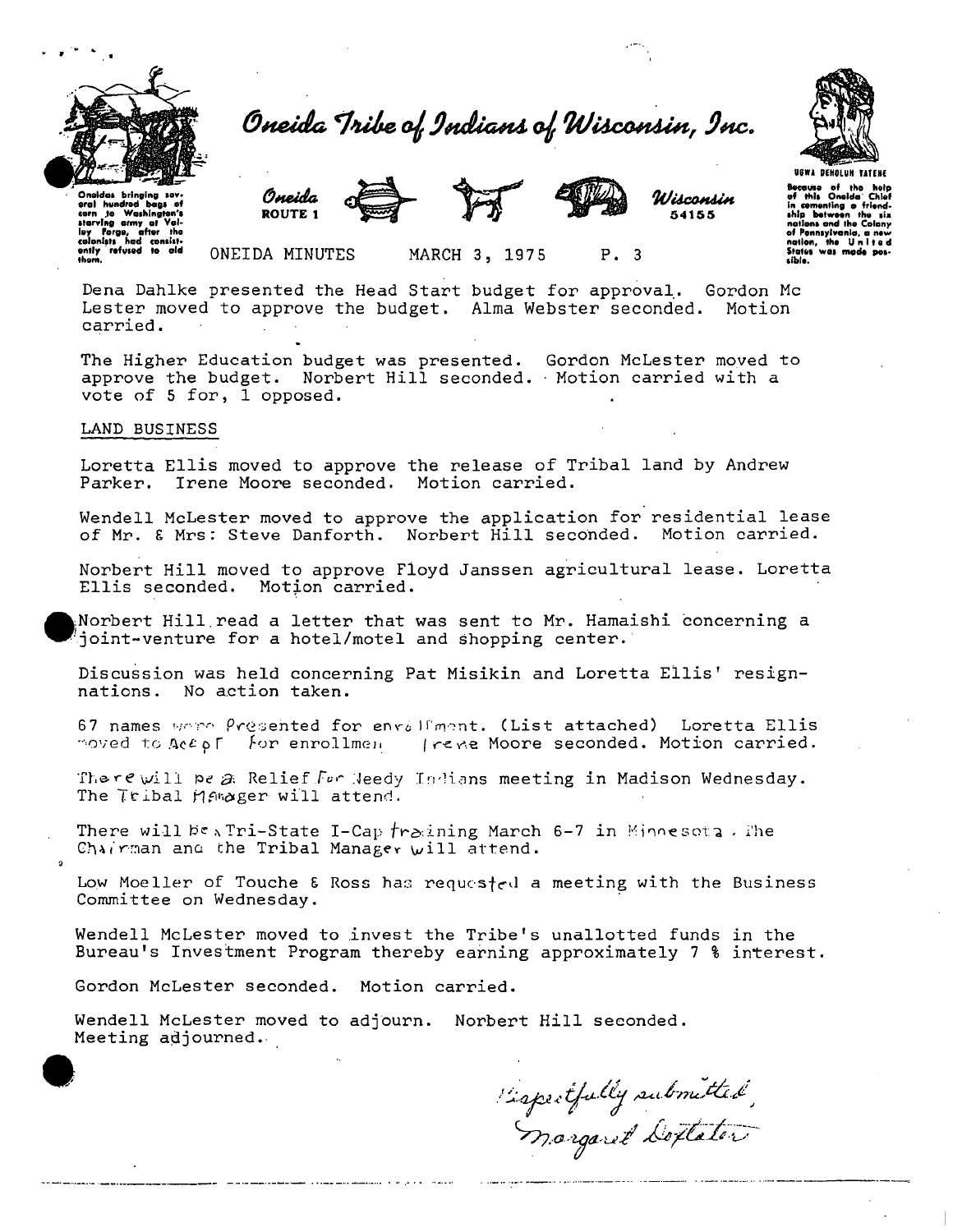

Oneida Tribe of Indians of Wisconsin, Inc.



Because of the help<br>of this Oneida Chief

ship between the six

friend

in comenting o<br>ship between

of Pennsylvanic

itates

.<br>Oneidas brinaina sev hundred bags<br>Io Washingt corn to www.www.<br>starving army of<br>Inu Fargo, after the loy Forgo, a<br>colonists had rnnslst. Oneida **ROUTE 1** 



Wisconsin 54155

ONEIDA MINUTES

MARCH 3, 1975 P. 3

Dena Dahlke presented the Head Start budget for approval. Gordon Mc Lester moved to approve the budget. Alma Webster seconded. Motion carried.

The Higher Education budget was presented. Gordon McLester moved to approve the budget. Norbert Hill seconded. Motion carried with a vote of 5 for, 1 opposed.

## LAND BUSINESS

Loretta Ellis moved to approve the release of Tribal land by Andrew Parker. Irene Moore seconded. Motion carried.

Wendell McLester moved to approve the application for residential lease of Mr. & Mrs: Steve Danforth. Norbert Hill seconded. Motion carried.

Norbert Hill moved to approve Floyd Janssen agricultural lease. Loretta Ellis seconded. Motion carried.

Norbert Hill read a letter that was sent to Mr. Hamaishi concerning a joint-venture for a hotel/motel and shopping center.

Discussion was held concerning Pat Misikin and Loretta Ellis' resignnations. No action taken.

67 names wore Presented for envalument. (List attached) Loretta Ellis moved to Accof for enrollmen Treve Moore seconded. Motion carried.

There will be a Relief For Weedy Indians meeting in Madison Wednesday. The Tribal Manager will attend.

There will be Tri-State I-Cap  $f$ raining March 6-7 in Minnesota. The Chairman and the Tribal Manager will attend.

Low Moeller of Touche & Ross has requested a meeting with the Business Committee on Wednesday.

Wendell McLester moved to invest the Tribe's unallotted funds in the Bureau's Investment Program thereby earning approximately 7 % interest.

Gordon McLester seconded. Motion carried.

Wendell McLester moved to adjourn. Norbert Hill seconded. Meeting adjourned.

Espectfully submitted,<br>Margaret Doptator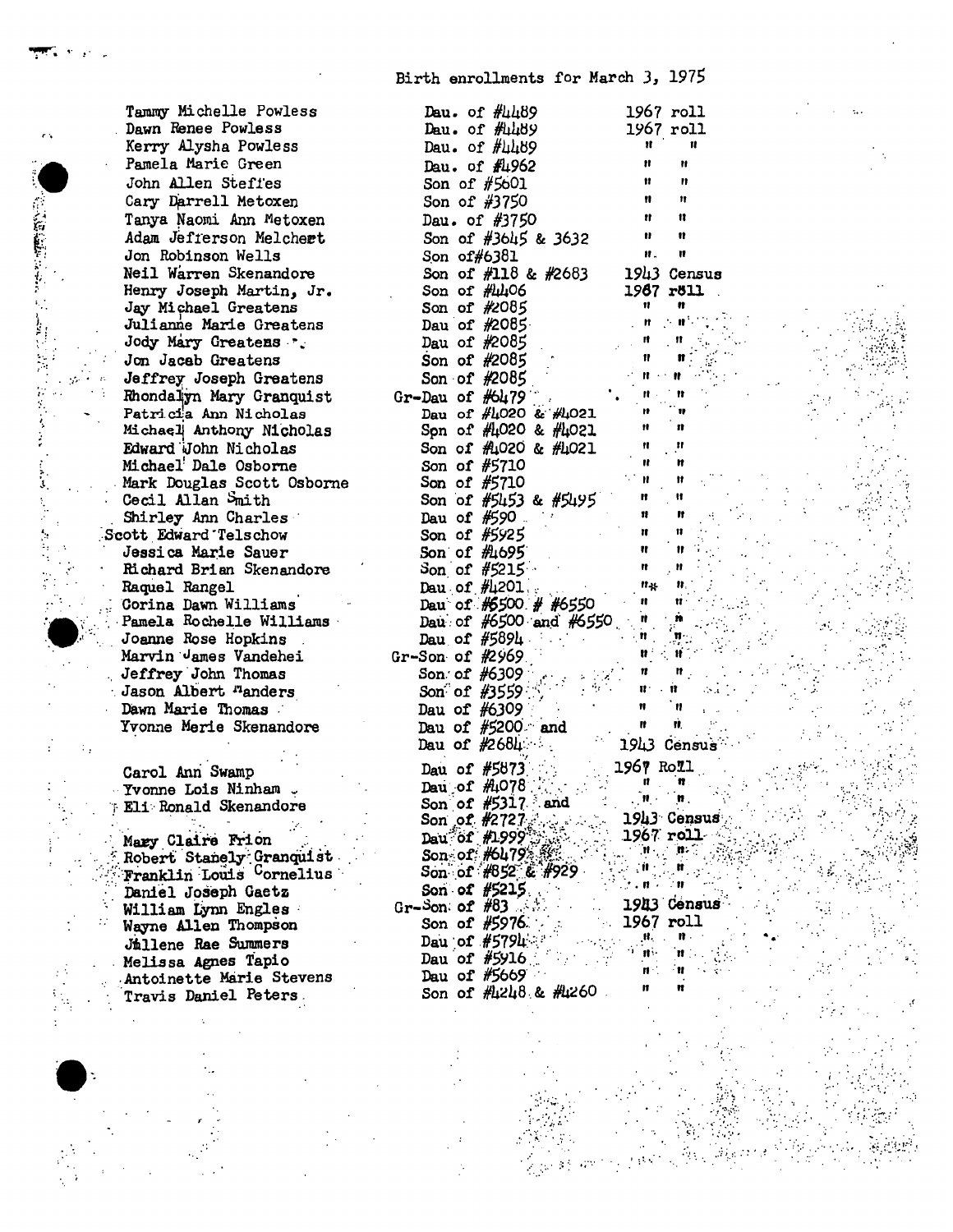Birth enrollments for March 3, 1975

Tammy Michelle Powless Dawn Renee Powless Kerry Alysha Powless Pamela Marie Green John Allen Steffes Cary Darrell Metoxen Tanya Naomi Ann Metoxen Adam Jefferson Melchert Jon Robinson Wells Neil Warren Skenandore Henry Joseph Martin, Jr. Jay Michael Greatens Julianne Marie Greatens Jody Mary Greatens .. Jon Jaceb Greatens Jeffrey Joseph Greatens Rhondalyn Mary Granquist Patricia Ann Nicholas Michael Anthony Nicholas Edward John Nicholas Michael<sup>!</sup> Dale Osborne Mark Douglas Scott Osborne Cecil Allan Smith Shirley Ann Charles Scott Edward Telschow Jessica Marie Sauer Richard Brian Skenandore Raquel Rangel Corina Dawn Williams Pamela Rochelle Williams Joanne Rose Hopkins Marvin James Vandehei Jeffrey John Thomas Jason Albert <sup>n</sup>anders Dawn Marie Thomas Yvonne Merle Skenandore

ia<br>Sa

Carol Ann Swamp Yvonne Lois Ninham . Eli Ronald Skenandore

Mary Claire Frion Robert Stanely Granquist Franklin Louis Cornelius Daniel Joseph Gaetz William Lynn Engles Wayne Allen Thompson Jullene Rae Summers Melissa Agnes Tapio Antoinette Marie Stevens Travis Daniel Peters

| Dau. of $\#4489$                                                                                | 1967 roll                                                                                                                   |                      |  |
|-------------------------------------------------------------------------------------------------|-----------------------------------------------------------------------------------------------------------------------------|----------------------|--|
| Dau. of $\#$ 489                                                                                | 1967 roll                                                                                                                   |                      |  |
| Dau. of $\#$ 4489                                                                               | and March 19                                                                                                                | $\mathbf{u}$         |  |
| Dau. of #4962                                                                                   | n.                                                                                                                          | Ħ                    |  |
| Son of #5601                                                                                    |                                                                                                                             | $\mathbf{r}$         |  |
| Son of #3750                                                                                    | $\frac{H}{H}$                                                                                                               | $^{\rm H}$           |  |
| Dau. of $#3750$                                                                                 | $\mathbf{H}$                                                                                                                | Ħ                    |  |
|                                                                                                 | $\sim 10^{-11}$                                                                                                             | Ħ                    |  |
| Son of #3645 & 3632                                                                             | $\mathbf{H}$                                                                                                                | Ħ                    |  |
| Son of#6381                                                                                     |                                                                                                                             |                      |  |
| Son of #118 & #2683 1943 Census                                                                 |                                                                                                                             |                      |  |
| Son of $\#4406$                                                                                 | 1967 röll                                                                                                                   |                      |  |
| Son of $#2085$                                                                                  | $\mathbf{H}$                                                                                                                | n                    |  |
| Dau of $#2085$                                                                                  |                                                                                                                             |                      |  |
| Dau of $#2085$                                                                                  |                                                                                                                             |                      |  |
|                                                                                                 |                                                                                                                             |                      |  |
|                                                                                                 |                                                                                                                             |                      |  |
| Son of #2085<br>Son of #2085<br>Gr-Dau of #6479                                                 |                                                                                                                             |                      |  |
| Day of $\#1020$ & $\#1021$                                                                      |                                                                                                                             |                      |  |
| Spn of #4020 & #4021                                                                            |                                                                                                                             |                      |  |
| Son of $\#$ 4020 & $\#$ 4021                                                                    |                                                                                                                             |                      |  |
| Son of #5710                                                                                    |                                                                                                                             |                      |  |
| Son of #5710                                                                                    |                                                                                                                             |                      |  |
|                                                                                                 |                                                                                                                             |                      |  |
|                                                                                                 | $\mathbf{H}$                                                                                                                |                      |  |
|                                                                                                 |                                                                                                                             |                      |  |
| Son of $#5153$ & $#5195$<br>Dau of $#590$<br>Son of $#5925$<br>Son of $#1695$<br>Son of $#5215$ | $\begin{array}{c} \begin{array}{c} \text{if } \text{if } \\ \text{if } \\ \text{if } \\ \text{if } \end{array} \end{array}$ |                      |  |
|                                                                                                 |                                                                                                                             |                      |  |
| Day of $\#1201$ .                                                                               |                                                                                                                             |                      |  |
| Dau of #5500 # #6550 "                                                                          |                                                                                                                             |                      |  |
| Dau of $#6500$ and $#6550$ "                                                                    |                                                                                                                             |                      |  |
|                                                                                                 |                                                                                                                             |                      |  |
| Day of $\frac{1}{5894}$ .                                                                       |                                                                                                                             |                      |  |
| Gr-Son of #2969                                                                                 |                                                                                                                             |                      |  |
| Son of $#6309$<br>Son of $#3559$                                                                |                                                                                                                             |                      |  |
|                                                                                                 |                                                                                                                             |                      |  |
| Dau of $\#6309$                                                                                 | $\mathbf{H}$                                                                                                                |                      |  |
| Dau of $#5200$ and                                                                              |                                                                                                                             |                      |  |
| Dau of $#2684$                                                                                  |                                                                                                                             | 1943 Census          |  |
|                                                                                                 | 1967 Roll                                                                                                                   |                      |  |
| Dau of $#5073$<br>Dau of $#1078$                                                                |                                                                                                                             |                      |  |
| Son of $#5317$ and                                                                              |                                                                                                                             |                      |  |
|                                                                                                 |                                                                                                                             | 1943 Census          |  |
| Son of #2727<br>Dau of #1999<br>Son of #052 & #929<br>Son of #052 & #929                        |                                                                                                                             | $1967$ roll          |  |
|                                                                                                 |                                                                                                                             |                      |  |
|                                                                                                 | The Boy                                                                                                                     |                      |  |
|                                                                                                 | $\mathbb{R}^n\times\mathbf{R}$ is $\mathbb{R}^n\mathbf{R}$                                                                  |                      |  |
| Son of #5215                                                                                    |                                                                                                                             |                      |  |
| Gr-Son of $#83$                                                                                 |                                                                                                                             | 1943 Census          |  |
| Son of $#5976$                                                                                  | 1967 roll                                                                                                                   | $\mathbf{n}$         |  |
| Dau of $#5794$                                                                                  | $\frac{\mathbf{H}_{\mathrm{S}}^{\mathrm{H}}}{\mathbf{H}_{\mathrm{S}}^{\mathrm{H}}}$                                         |                      |  |
| Dau of $#5916$                                                                                  | $\frac{1}{\pi}$                                                                                                             | $\mathbf{H}$<br>- 11 |  |
| Dau of $#5669$                                                                                  |                                                                                                                             |                      |  |
| Son of #4248 & #4260                                                                            | n                                                                                                                           | n                    |  |